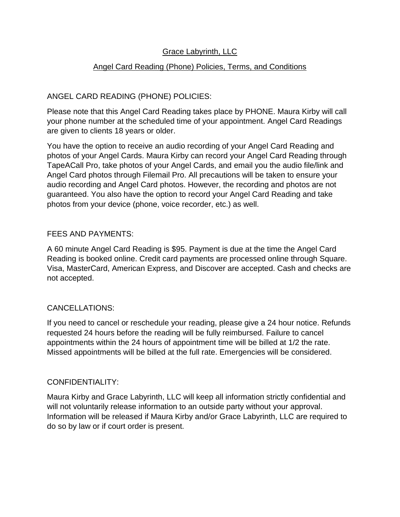# Grace Labyrinth, LLC

### Angel Card Reading (Phone) Policies, Terms, and Conditions

## ANGEL CARD READING (PHONE) POLICIES:

Please note that this Angel Card Reading takes place by PHONE. Maura Kirby will call your phone number at the scheduled time of your appointment. Angel Card Readings are given to clients 18 years or older.

You have the option to receive an audio recording of your Angel Card Reading and photos of your Angel Cards. Maura Kirby can record your Angel Card Reading through TapeACall Pro, take photos of your Angel Cards, and email you the audio file/link and Angel Card photos through Filemail Pro. All precautions will be taken to ensure your audio recording and Angel Card photos. However, the recording and photos are not guaranteed. You also have the option to record your Angel Card Reading and take photos from your device (phone, voice recorder, etc.) as well.

#### FEES AND PAYMENTS:

A 60 minute Angel Card Reading is \$95. Payment is due at the time the Angel Card Reading is booked online. Credit card payments are processed online through Square. Visa, MasterCard, American Express, and Discover are accepted. Cash and checks are not accepted.

### CANCELLATIONS:

If you need to cancel or reschedule your reading, please give a 24 hour notice. Refunds requested 24 hours before the reading will be fully reimbursed. Failure to cancel appointments within the 24 hours of appointment time will be billed at 1/2 the rate. Missed appointments will be billed at the full rate. Emergencies will be considered.

#### CONFIDENTIALITY:

Maura Kirby and Grace Labyrinth, LLC will keep all information strictly confidential and will not voluntarily release information to an outside party without your approval. Information will be released if Maura Kirby and/or Grace Labyrinth, LLC are required to do so by law or if court order is present.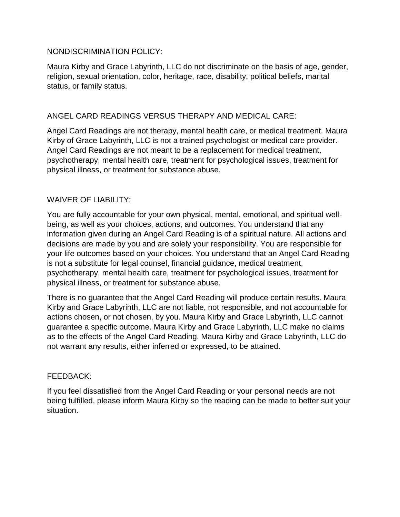#### NONDISCRIMINATION POLICY:

Maura Kirby and Grace Labyrinth, LLC do not discriminate on the basis of age, gender, religion, sexual orientation, color, heritage, race, disability, political beliefs, marital status, or family status.

### ANGEL CARD READINGS VERSUS THERAPY AND MEDICAL CARE:

Angel Card Readings are not therapy, mental health care, or medical treatment. Maura Kirby of Grace Labyrinth, LLC is not a trained psychologist or medical care provider. Angel Card Readings are not meant to be a replacement for medical treatment, psychotherapy, mental health care, treatment for psychological issues, treatment for physical illness, or treatment for substance abuse.

### WAIVER OF LIABILITY:

You are fully accountable for your own physical, mental, emotional, and spiritual wellbeing, as well as your choices, actions, and outcomes. You understand that any information given during an Angel Card Reading is of a spiritual nature. All actions and decisions are made by you and are solely your responsibility. You are responsible for your life outcomes based on your choices. You understand that an Angel Card Reading is not a substitute for legal counsel, financial guidance, medical treatment, psychotherapy, mental health care, treatment for psychological issues, treatment for physical illness, or treatment for substance abuse.

There is no guarantee that the Angel Card Reading will produce certain results. Maura Kirby and Grace Labyrinth, LLC are not liable, not responsible, and not accountable for actions chosen, or not chosen, by you. Maura Kirby and Grace Labyrinth, LLC cannot guarantee a specific outcome. Maura Kirby and Grace Labyrinth, LLC make no claims as to the effects of the Angel Card Reading. Maura Kirby and Grace Labyrinth, LLC do not warrant any results, either inferred or expressed, to be attained.

#### FEEDBACK:

If you feel dissatisfied from the Angel Card Reading or your personal needs are not being fulfilled, please inform Maura Kirby so the reading can be made to better suit your situation.